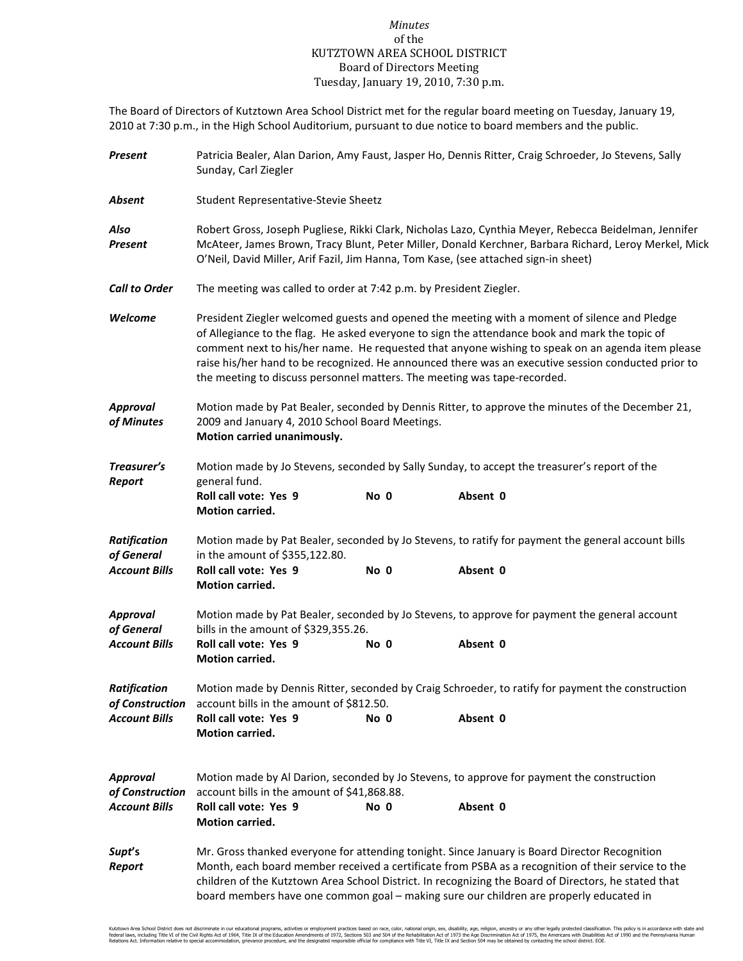## *Minutes* of the KUTZTOWN AREA SCHOOL DISTRICT Board of Directors Meeting Tuesday, January 19, 2010, 7:30 p.m.

The Board of Directors of Kutztown Area School District met for the regular board meeting on Tuesday, January 19, 2010 at 7:30 p.m., in the High School Auditorium, pursuant to due notice to board members and the public.

| Present                                                                                                                                                                   | Patricia Bealer, Alan Darion, Amy Faust, Jasper Ho, Dennis Ritter, Craig Schroeder, Jo Stevens, Sally<br>Sunday, Carl Ziegler                                                                                                                                                                                                                                                                                                                                                         |      |                                                                                                                                                                                                                                                                                                                                                                                                       |  |  |  |
|---------------------------------------------------------------------------------------------------------------------------------------------------------------------------|---------------------------------------------------------------------------------------------------------------------------------------------------------------------------------------------------------------------------------------------------------------------------------------------------------------------------------------------------------------------------------------------------------------------------------------------------------------------------------------|------|-------------------------------------------------------------------------------------------------------------------------------------------------------------------------------------------------------------------------------------------------------------------------------------------------------------------------------------------------------------------------------------------------------|--|--|--|
| Absent                                                                                                                                                                    | Student Representative-Stevie Sheetz                                                                                                                                                                                                                                                                                                                                                                                                                                                  |      |                                                                                                                                                                                                                                                                                                                                                                                                       |  |  |  |
| Also<br><b>Present</b>                                                                                                                                                    | Robert Gross, Joseph Pugliese, Rikki Clark, Nicholas Lazo, Cynthia Meyer, Rebecca Beidelman, Jennifer<br>McAteer, James Brown, Tracy Blunt, Peter Miller, Donald Kerchner, Barbara Richard, Leroy Merkel, Mick<br>O'Neil, David Miller, Arif Fazil, Jim Hanna, Tom Kase, (see attached sign-in sheet)                                                                                                                                                                                 |      |                                                                                                                                                                                                                                                                                                                                                                                                       |  |  |  |
| <b>Call to Order</b>                                                                                                                                                      | The meeting was called to order at 7:42 p.m. by President Ziegler.                                                                                                                                                                                                                                                                                                                                                                                                                    |      |                                                                                                                                                                                                                                                                                                                                                                                                       |  |  |  |
| Welcome                                                                                                                                                                   | President Ziegler welcomed guests and opened the meeting with a moment of silence and Pledge<br>of Allegiance to the flag. He asked everyone to sign the attendance book and mark the topic of<br>comment next to his/her name. He requested that anyone wishing to speak on an agenda item please<br>raise his/her hand to be recognized. He announced there was an executive session conducted prior to<br>the meeting to discuss personnel matters. The meeting was tape-recorded. |      |                                                                                                                                                                                                                                                                                                                                                                                                       |  |  |  |
| <b>Approval</b><br>of Minutes                                                                                                                                             | Motion made by Pat Bealer, seconded by Dennis Ritter, to approve the minutes of the December 21,<br>2009 and January 4, 2010 School Board Meetings.<br>Motion carried unanimously.                                                                                                                                                                                                                                                                                                    |      |                                                                                                                                                                                                                                                                                                                                                                                                       |  |  |  |
| Treasurer's<br>Report                                                                                                                                                     | Motion made by Jo Stevens, seconded by Sally Sunday, to accept the treasurer's report of the<br>general fund.                                                                                                                                                                                                                                                                                                                                                                         |      |                                                                                                                                                                                                                                                                                                                                                                                                       |  |  |  |
|                                                                                                                                                                           | Roll call vote: Yes 9<br>Motion carried.                                                                                                                                                                                                                                                                                                                                                                                                                                              | No 0 | Absent 0                                                                                                                                                                                                                                                                                                                                                                                              |  |  |  |
| Motion made by Pat Bealer, seconded by Jo Stevens, to ratify for payment the general account bills<br><b>Ratification</b><br>of General<br>in the amount of \$355,122.80. |                                                                                                                                                                                                                                                                                                                                                                                                                                                                                       |      |                                                                                                                                                                                                                                                                                                                                                                                                       |  |  |  |
| <b>Account Bills</b>                                                                                                                                                      | Roll call vote: Yes 9<br>Motion carried.                                                                                                                                                                                                                                                                                                                                                                                                                                              | No 0 | Absent 0                                                                                                                                                                                                                                                                                                                                                                                              |  |  |  |
| Approval<br>of General                                                                                                                                                    | Motion made by Pat Bealer, seconded by Jo Stevens, to approve for payment the general account<br>bills in the amount of \$329,355.26.                                                                                                                                                                                                                                                                                                                                                 |      |                                                                                                                                                                                                                                                                                                                                                                                                       |  |  |  |
| <b>Account Bills</b>                                                                                                                                                      | Roll call vote: Yes 9<br>Motion carried.                                                                                                                                                                                                                                                                                                                                                                                                                                              | No 0 | Absent 0                                                                                                                                                                                                                                                                                                                                                                                              |  |  |  |
| <b>Ratification</b><br>of Construction                                                                                                                                    | Motion made by Dennis Ritter, seconded by Craig Schroeder, to ratify for payment the construction<br>account bills in the amount of \$812.50.                                                                                                                                                                                                                                                                                                                                         |      |                                                                                                                                                                                                                                                                                                                                                                                                       |  |  |  |
| <b>Account Bills</b>                                                                                                                                                      | Roll call vote: Yes 9<br><b>Motion carried.</b>                                                                                                                                                                                                                                                                                                                                                                                                                                       | No 0 | Absent 0                                                                                                                                                                                                                                                                                                                                                                                              |  |  |  |
| <b>Approval</b><br>of Construction                                                                                                                                        | Motion made by Al Darion, seconded by Jo Stevens, to approve for payment the construction<br>account bills in the amount of \$41,868.88.                                                                                                                                                                                                                                                                                                                                              |      |                                                                                                                                                                                                                                                                                                                                                                                                       |  |  |  |
| <b>Account Bills</b>                                                                                                                                                      | Roll call vote: Yes 9<br><b>Motion carried.</b>                                                                                                                                                                                                                                                                                                                                                                                                                                       | No 0 | Absent 0                                                                                                                                                                                                                                                                                                                                                                                              |  |  |  |
| Supt's<br>Report                                                                                                                                                          |                                                                                                                                                                                                                                                                                                                                                                                                                                                                                       |      | Mr. Gross thanked everyone for attending tonight. Since January is Board Director Recognition<br>Month, each board member received a certificate from PSBA as a recognition of their service to the<br>children of the Kutztown Area School District. In recognizing the Board of Directors, he stated that<br>board members have one common goal - making sure our children are properly educated in |  |  |  |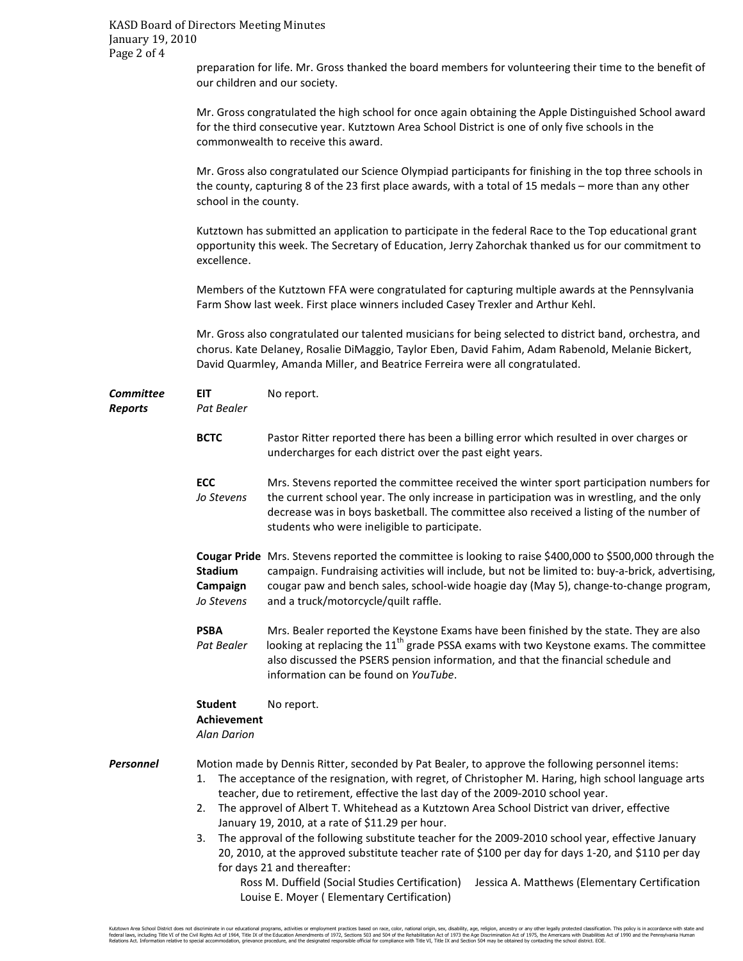preparation for life. Mr. Gross thanked the board members for volunteering their time to the benefit of our children and our society.

 Mr. Gross congratulated the high school for once again obtaining the Apple Distinguished School award for the third consecutive year. Kutztown Area School District is one of only five schools in the commonwealth to receive this award.

 Mr. Gross also congratulated our Science Olympiad participants for finishing in the top three schools in the county, capturing 8 of the 23 first place awards, with a total of 15 medals – more than any other school in the county.

 Kutztown has submitted an application to participate in the federal Race to the Top educational grant opportunity this week. The Secretary of Education, Jerry Zahorchak thanked us for our commitment to excellence.

 Members of the Kutztown FFA were congratulated for capturing multiple awards at the Pennsylvania Farm Show last week. First place winners included Casey Trexler and Arthur Kehl.

 Mr. Gross also congratulated our talented musicians for being selected to district band, orchestra, and chorus. Kate Delaney, Rosalie DiMaggio, Taylor Eben, David Fahim, Adam Rabenold, Melanie Bickert, David Quarmley, Amanda Miller, and Beatrice Ferreira were all congratulated.

| Committee<br><b>Reports</b> | <b>EIT</b><br>Pat Bealer                                   | No report.                                                                                                                                                                                                                                                                                                                                                                                                                                                                                                                                                                                                                                                                                                                                                                                    |  |  |
|-----------------------------|------------------------------------------------------------|-----------------------------------------------------------------------------------------------------------------------------------------------------------------------------------------------------------------------------------------------------------------------------------------------------------------------------------------------------------------------------------------------------------------------------------------------------------------------------------------------------------------------------------------------------------------------------------------------------------------------------------------------------------------------------------------------------------------------------------------------------------------------------------------------|--|--|
|                             | <b>BCTC</b>                                                | Pastor Ritter reported there has been a billing error which resulted in over charges or<br>undercharges for each district over the past eight years.                                                                                                                                                                                                                                                                                                                                                                                                                                                                                                                                                                                                                                          |  |  |
|                             | <b>ECC</b><br>Jo Stevens                                   | Mrs. Stevens reported the committee received the winter sport participation numbers for<br>the current school year. The only increase in participation was in wrestling, and the only<br>decrease was in boys basketball. The committee also received a listing of the number of<br>students who were ineligible to participate.                                                                                                                                                                                                                                                                                                                                                                                                                                                              |  |  |
|                             | Stadium<br>Campaign<br>Jo Stevens                          | Cougar Pride Mrs. Stevens reported the committee is looking to raise \$400,000 to \$500,000 through the<br>campaign. Fundraising activities will include, but not be limited to: buy-a-brick, advertising,<br>cougar paw and bench sales, school-wide hoagie day (May 5), change-to-change program,<br>and a truck/motorcycle/quilt raffle.                                                                                                                                                                                                                                                                                                                                                                                                                                                   |  |  |
|                             | <b>PSBA</b><br>Pat Bealer                                  | Mrs. Bealer reported the Keystone Exams have been finished by the state. They are also<br>looking at replacing the 11 <sup>th</sup> grade PSSA exams with two Keystone exams. The committee<br>also discussed the PSERS pension information, and that the financial schedule and<br>information can be found on YouTube.                                                                                                                                                                                                                                                                                                                                                                                                                                                                      |  |  |
|                             | <b>Student</b><br><b>Achievement</b><br><b>Alan Darion</b> | No report.                                                                                                                                                                                                                                                                                                                                                                                                                                                                                                                                                                                                                                                                                                                                                                                    |  |  |
| Personnel                   | 1.<br>2.<br>3.                                             | Motion made by Dennis Ritter, seconded by Pat Bealer, to approve the following personnel items:<br>The acceptance of the resignation, with regret, of Christopher M. Haring, high school language arts<br>teacher, due to retirement, effective the last day of the 2009-2010 school year.<br>The approvel of Albert T. Whitehead as a Kutztown Area School District van driver, effective<br>January 19, 2010, at a rate of \$11.29 per hour.<br>The approval of the following substitute teacher for the 2009-2010 school year, effective January<br>20, 2010, at the approved substitute teacher rate of \$100 per day for days 1-20, and \$110 per day<br>for days 21 and thereafter:<br>Ross M. Duffield (Social Studies Certification)<br>Jessica A. Matthews (Elementary Certification |  |  |

Louise E. Moyer ( Elementary Certification)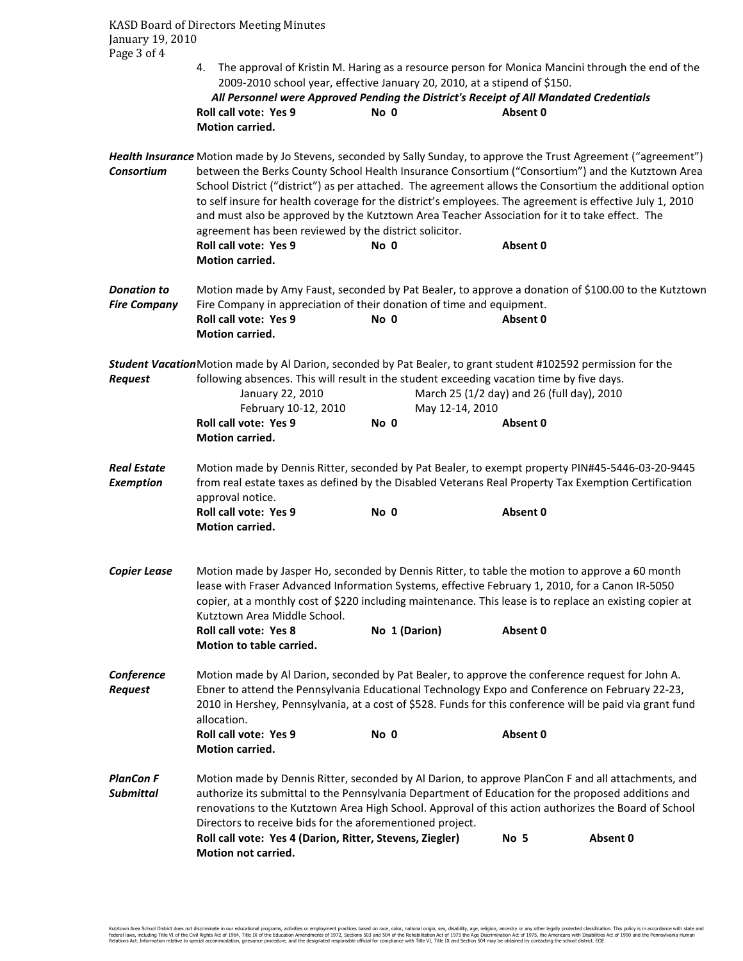KASD Board of Directors Meeting Minutes January 19, 2010 Page 3 of 4

> 4. The approval of Kristin M. Haring as a resource person for Monica Mancini through the end of the 2009-2010 school year, effective January 20, 2010, at a stipend of \$150.

*All Personnel were Approved Pending the District's Receipt of All Mandated Credentials*  **Roll call vote: Yes 9 No 0 Absent 0 Motion carried.** 

*Health Insurance* Motion made by Jo Stevens, seconded by Sally Sunday, to approve the Trust Agreement ("agreement") *Consortium* between the Berks County School Health Insurance Consortium ("Consortium") and the Kutztown Area School District ("district") as per attached. The agreement allows the Consortium the additional option to self insure for health coverage for the district's employees. The agreement is effective July 1, 2010 and must also be approved by the Kutztown Area Teacher Association for it to take effect. The agreement has been reviewed by the district solicitor. Roll call vote: Yes 9 No 0 Absent 0  **Motion carried.**  *Donation to* Motion made by Amy Faust, seconded by Pat Bealer, to approve a donation of \$100.00 to the Kutztown

**Fire Company** Fire Company in appreciation of their donation of time and equipment. **Roll call vote: Yes 9 No 0 Absent 0 Motion carried.** 

*Student Vacation* Motion made by Al Darion, seconded by Pat Bealer, to grant student #102592 permission for the *Request* following absences. This will result in the student exceeding vacation time by five days.

|                                        | January 22, 2010<br>February 10-12, 2010                                                                                                                                                                                                                                                                                                                                      |               | March 25 (1/2 day) and 26 (full day), 2010<br>May 12-14, 2010 |          |  |  |
|----------------------------------------|-------------------------------------------------------------------------------------------------------------------------------------------------------------------------------------------------------------------------------------------------------------------------------------------------------------------------------------------------------------------------------|---------------|---------------------------------------------------------------|----------|--|--|
|                                        | <b>Roll call vote: Yes 9</b><br>Motion carried.                                                                                                                                                                                                                                                                                                                               | No 0          | Absent 0                                                      |          |  |  |
| <b>Real Estate</b><br><b>Exemption</b> | Motion made by Dennis Ritter, seconded by Pat Bealer, to exempt property PIN#45-5446-03-20-9445<br>from real estate taxes as defined by the Disabled Veterans Real Property Tax Exemption Certification<br>approval notice.                                                                                                                                                   |               |                                                               |          |  |  |
|                                        | <b>Roll call vote: Yes 9</b><br><b>Motion carried.</b>                                                                                                                                                                                                                                                                                                                        | No 0          | Absent 0                                                      |          |  |  |
| <b>Copier Lease</b>                    | Motion made by Jasper Ho, seconded by Dennis Ritter, to table the motion to approve a 60 month<br>lease with Fraser Advanced Information Systems, effective February 1, 2010, for a Canon IR-5050<br>copier, at a monthly cost of \$220 including maintenance. This lease is to replace an existing copier at<br>Kutztown Area Middle School.                                 |               |                                                               |          |  |  |
|                                        | <b>Roll call vote: Yes 8</b><br>Motion to table carried.                                                                                                                                                                                                                                                                                                                      | No 1 (Darion) | Absent 0                                                      |          |  |  |
| Conference<br><b>Request</b>           | Motion made by Al Darion, seconded by Pat Bealer, to approve the conference request for John A.<br>Ebner to attend the Pennsylvania Educational Technology Expo and Conference on February 22-23,<br>2010 in Hershey, Pennsylvania, at a cost of \$528. Funds for this conference will be paid via grant fund<br>allocation.                                                  |               |                                                               |          |  |  |
|                                        | Roll call vote: Yes 9<br><b>Motion carried.</b>                                                                                                                                                                                                                                                                                                                               | No 0          | Absent 0                                                      |          |  |  |
| <b>PlanCon F</b><br><b>Submittal</b>   | Motion made by Dennis Ritter, seconded by Al Darion, to approve PlanCon F and all attachments, and<br>authorize its submittal to the Pennsylvania Department of Education for the proposed additions and<br>renovations to the Kutztown Area High School. Approval of this action authorizes the Board of School<br>Directors to receive bids for the aforementioned project. |               |                                                               |          |  |  |
|                                        | Roll call vote: Yes 4 (Darion, Ritter, Stevens, Ziegler)<br><b>Motion not carried.</b>                                                                                                                                                                                                                                                                                        |               | No 5                                                          | Absent 0 |  |  |